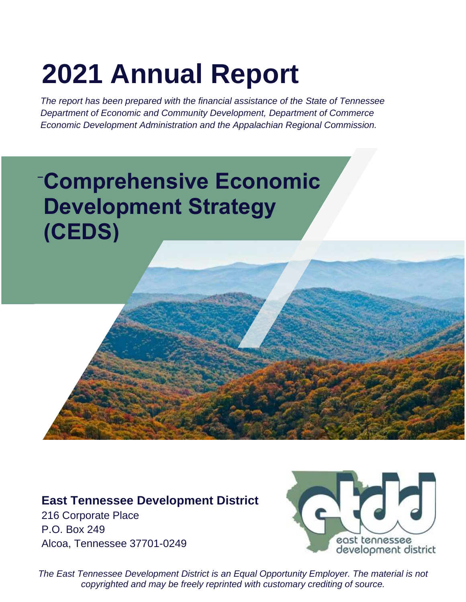# **2021 Annual Report**

*The report has been prepared with the financial assistance of the State of Tennessee Department of Economic and Community Development, Department of Commerce Economic Development Administration and the Appalachian Regional Commission.*

# **\_ Comprehensive Economic Development Strategy (CEDS)**

### **East Tennessee Development District**

216 Corporate Place P.O. Box 249 Alcoa, Tennessee 37701-0249



*The East Tennessee Development District is an Equal Opportunity Employer. The material is not copyrighted and may be freely reprinted with customary crediting of source.*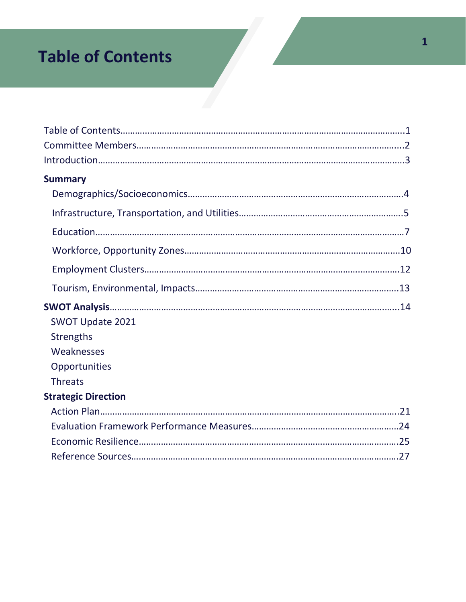# **Table of Contents**

| <b>Summary</b>             |  |
|----------------------------|--|
|                            |  |
|                            |  |
|                            |  |
|                            |  |
|                            |  |
|                            |  |
|                            |  |
| <b>SWOT Update 2021</b>    |  |
| <b>Strengths</b>           |  |
| Weaknesses                 |  |
| Opportunities              |  |
| <b>Threats</b>             |  |
| <b>Strategic Direction</b> |  |
|                            |  |
|                            |  |
|                            |  |
|                            |  |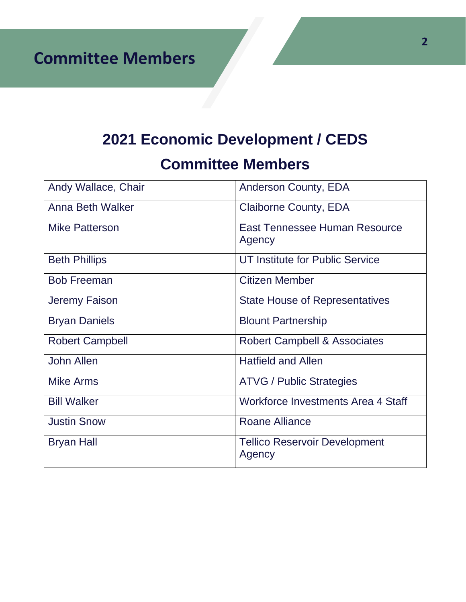**Committee Members**

# **2021 Economic Development / CEDS**

# **Committee Members**

| Andy Wallace, Chair    | <b>Anderson County, EDA</b>                    |
|------------------------|------------------------------------------------|
| Anna Beth Walker       | <b>Claiborne County, EDA</b>                   |
| <b>Mike Patterson</b>  | East Tennessee Human Resource<br>Agency        |
| <b>Beth Phillips</b>   | UT Institute for Public Service                |
| <b>Bob Freeman</b>     | <b>Citizen Member</b>                          |
| Jeremy Faison          | <b>State House of Representatives</b>          |
| <b>Bryan Daniels</b>   | <b>Blount Partnership</b>                      |
| <b>Robert Campbell</b> | <b>Robert Campbell &amp; Associates</b>        |
| <b>John Allen</b>      | <b>Hatfield and Allen</b>                      |
| <b>Mike Arms</b>       | <b>ATVG / Public Strategies</b>                |
| <b>Bill Walker</b>     | Workforce Investments Area 4 Staff             |
| <b>Justin Snow</b>     | <b>Roane Alliance</b>                          |
| <b>Bryan Hall</b>      | <b>Tellico Reservoir Development</b><br>Agency |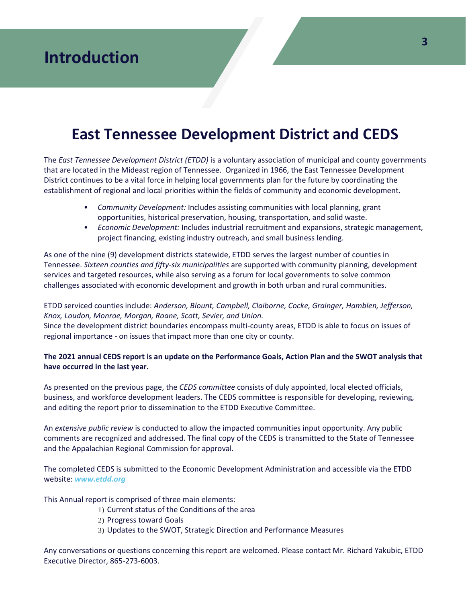# **East Tennessee Development District and CEDS**

The *East Tennessee Development District (ETDD)* is a voluntary association of municipal and county governments that are located in the Mideast region of Tennessee. Organized in 1966, the East Tennessee Development District continues to be a vital force in helping local governments plan for the future by coordinating the establishment of regional and local priorities within the fields of community and economic development.

- *Community Development:* Includes assisting communities with local planning, grant opportunities, historical preservation, housing, transportation, and solid waste.
- *Economic Development:* Includes industrial recruitment and expansions, strategic management, project financing, existing industry outreach, and small business lending.

As one of the nine (9) development districts statewide, ETDD serves the largest number of counties in Tennessee. *Sixteen counties and fifty-six municipalities* are supported with community planning, development services and targeted resources, while also serving as a forum for local governments to solve common challenges associated with economic development and growth in both urban and rural communities.

ETDD serviced counties include: *Anderson, Blount, Campbell, Claiborne, Cocke, Grainger, Hamblen, Jefferson, Knox, Loudon, Monroe, Morgan, Roane, Scott, Sevier, and Union.*

Since the development district boundaries encompass multi-county areas, ETDD is able to focus on issues of regional importance - on issues that impact more than one city or county.

#### **The 2021 annual CEDS report is an update on the Performance Goals, Action Plan and the SWOT analysis that have occurred in the last year.**

As presented on the previous page, the *CEDS committee* consists of duly appointed, local elected officials, business, and workforce development leaders. The CEDS committee is responsible for developing, reviewing, and editing the report prior to dissemination to the ETDD Executive Committee.

An *extensive public review* is conducted to allow the impacted communities input opportunity. Any public comments are recognized and addressed. The final copy of the CEDS is transmitted to the State of Tennessee and the Appalachian Regional Commission for approval.

The completed CEDS is submitted to the Economic Development Administration and accessible via the ETDD website: *[www.etdd.org](http://www.etdd.org/)*

This Annual report is comprised of three main elements:

- 1) Current status of the Conditions of the area
- 2) Progress toward Goals
- 3) Updates to the SWOT, Strategic Direction and Performance Measures

Any conversations or questions concerning this report are welcomed. Please contact Mr. Richard Yakubic, ETDD Executive Director, 865-273-6003.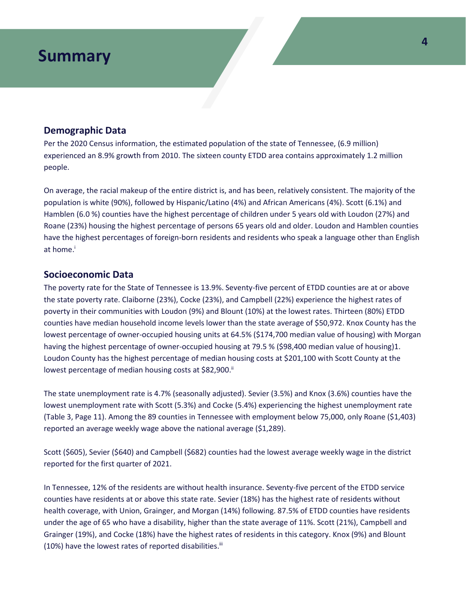### **Demographic Data**

Per the 2020 Census information, the estimated population of the state of Tennessee, (6.9 million) experienced an 8.9% growth from 2010. The sixteen county ETDD area contains approximately 1.2 million people.

On average, the racial makeup of the entire district is, and has been, relatively consistent. The majority of the population is white (90%), followed by Hispanic/Latino (4%) and African Americans (4%). Scott (6.1%) and Hamblen (6.0 %) counties have the highest percentage of children under 5 years old with Loudon (27%) and Roane (23%) housing the highest percentage of persons 65 years old and older. Loudon and Hamblen counties have the highest percentages of foreign-born residents and residents who speak a language other than English at home. i

### **Socioeconomic Data**

The poverty rate for the State of Tennessee is 13.9%. Seventy-five percent of ETDD counties are at or above the state poverty rate. Claiborne (23%), Cocke (23%), and Campbell (22%) experience the highest rates of poverty in their communities with Loudon (9%) and Blount (10%) at the lowest rates. Thirteen (80%) ETDD counties have median household income levels lower than the state average of \$50,972. Knox County has the lowest percentage of owner-occupied housing units at 64.5% (\$174,700 median value of housing) with Morgan having the highest percentage of owner-occupied housing at 79.5 % (\$98,400 median value of housing)1. Loudon County has the highest percentage of median housing costs at \$201,100 with Scott County at the lowest percentage of median housing costs at \$82,900.<sup>ii</sup>

The state unemployment rate is 4.7% (seasonally adjusted). Sevier (3.5%) and Knox (3.6%) counties have the lowest unemployment rate with Scott (5.3%) and Cocke (5.4%) experiencing the highest unemployment rate (Table 3, Page 11). Among the 89 counties in Tennessee with employment below 75,000, only Roane (\$1,403) reported an average weekly wage above the national average (\$1,289).

Scott (\$605), Sevier (\$640) and Campbell (\$682) counties had the lowest average weekly wage in the district reported for the first quarter of 2021.

In Tennessee, 12% of the residents are without health insurance. Seventy-five percent of the ETDD service counties have residents at or above this state rate. Sevier (18%) has the highest rate of residents without health coverage, with Union, Grainger, and Morgan (14%) following. 87.5% of ETDD counties have residents under the age of 65 who have a disability, higher than the state average of 11%. Scott (21%), Campbell and Grainger (19%), and Cocke (18%) have the highest rates of residents in this category. Knox (9%) and Blount (10%) have the lowest rates of reported disabilities.<sup>iii</sup>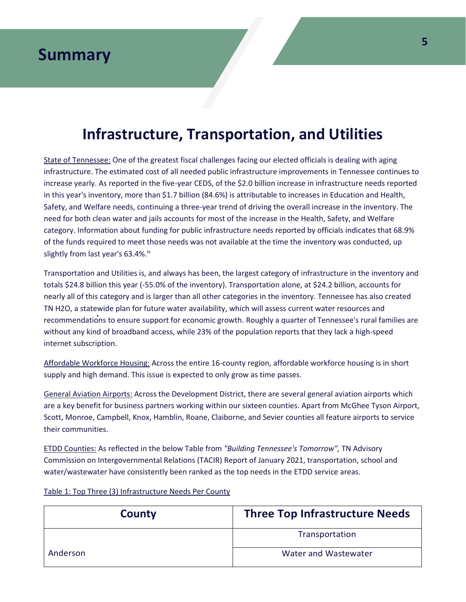# **Infrastructure, Transportation, and Utilities**

State of Tennessee: One of the greatest fiscal challenges facing our elected officials is dealing with aging infrastructure. The estimated cost of all needed public infrastructure improvements in Tennessee continues to increase yearly. As reported in the five-year CEDS, of the \$2.0 billion increase in infrastructure needs reported in this year's inventory, more than \$1.7 billion (84.6%) is attributable to increases in Education and Health, Safety, and Welfare needs, continuing a three-year trend of driving the overall increase in the inventory. The need for both clean water and jails accounts for most of the increase in the Health, Safety, and Welfare category. Information about funding for public infrastructure needs reported by officials indicates that 68.9% of the funds required to meet those needs was not available at the time the inventory was conducted, up slightly from last year's 63.4%.<sup>iv</sup>

recommendations to ensure support for economic growth. Roughly a quarter of Tennessee's rural families are Transportation and Utilities is, and always has been, the largest category of infrastructure in the inventory and totals \$24.8 billion this year (-55.0% of the inventory). Transportation alone, at \$24.2 billion, accounts for nearly all of this category and is larger than all other categories in the inventory. Tennessee has also created TN H2O, a statewide plan for future water availability, which will assess current water resources and without any kind of broadband access, while 23% of the population reports that they lack a high-speed internet subscription.

Affordable Workforce Housing: Across the entire 16-county region, affordable workforce housing is in short supply and high demand. This issue is expected to only grow as time passes.

General Aviation Airports: Across the Development District, there are several general aviation airports which are a key benefit for business partners working within our sixteen counties. Apart from McGhee Tyson Airport, Scott, Monroe, Campbell, Knox, Hamblin, Roane, Claiborne, and Sevier counties all feature airports to service their communities.

ETDD Counties: As reflected in the below Table from *"Building Tennessee's Tomorrow",* TN Advisory Commission on Intergovernmental Relations (TACIR) Report of January 2021, transportation, school and water/wastewater have consistently been ranked as the top needs in the ETDD service areas.

Table 1: Top Three (3) Infrastructure Needs Per County

| County   | <b>Three Top Infrastructure Needs</b> |
|----------|---------------------------------------|
|          | Transportation                        |
| Anderson | Water and Wastewater                  |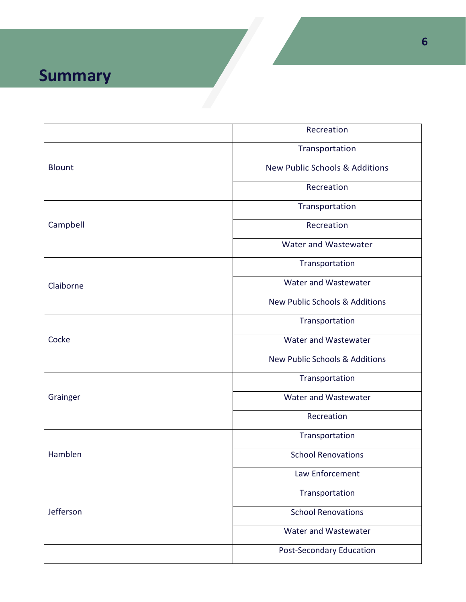|               | Recreation                                |
|---------------|-------------------------------------------|
| <b>Blount</b> | Transportation                            |
|               | New Public Schools & Additions            |
|               | Recreation                                |
| Campbell      | Transportation                            |
|               | Recreation                                |
|               | Water and Wastewater                      |
| Claiborne     | Transportation                            |
|               | Water and Wastewater                      |
|               | <b>New Public Schools &amp; Additions</b> |
| Cocke         | Transportation                            |
|               | Water and Wastewater                      |
|               | New Public Schools & Additions            |
| Grainger      | Transportation                            |
|               | Water and Wastewater                      |
|               | Recreation                                |
| Hamblen       | Transportation                            |
|               | <b>School Renovations</b>                 |
|               | Law Enforcement                           |
| Jefferson     | Transportation                            |
|               | <b>School Renovations</b>                 |
|               | Water and Wastewater                      |
|               | <b>Post-Secondary Education</b>           |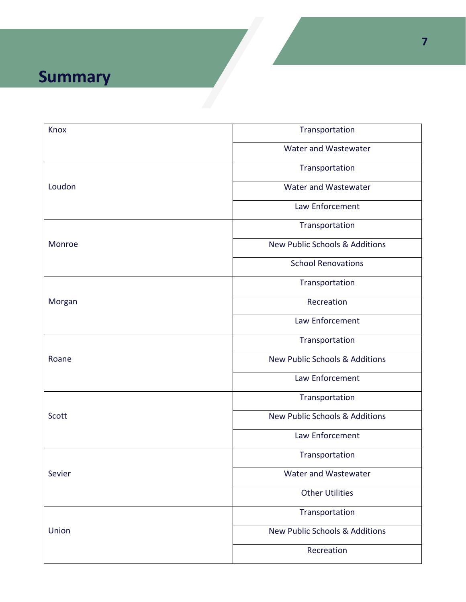| Transportation                            |
|-------------------------------------------|
| Water and Wastewater                      |
| Transportation                            |
| Water and Wastewater                      |
| Law Enforcement                           |
| Transportation                            |
| <b>New Public Schools &amp; Additions</b> |
| <b>School Renovations</b>                 |
| Transportation                            |
| Recreation                                |
| Law Enforcement                           |
| Transportation                            |
| <b>New Public Schools &amp; Additions</b> |
| Law Enforcement                           |
| Transportation                            |
| <b>New Public Schools &amp; Additions</b> |
| Law Enforcement                           |
| Transportation                            |
| Water and Wastewater                      |
| <b>Other Utilities</b>                    |
| Transportation                            |
| New Public Schools & Additions            |
| Recreation                                |
|                                           |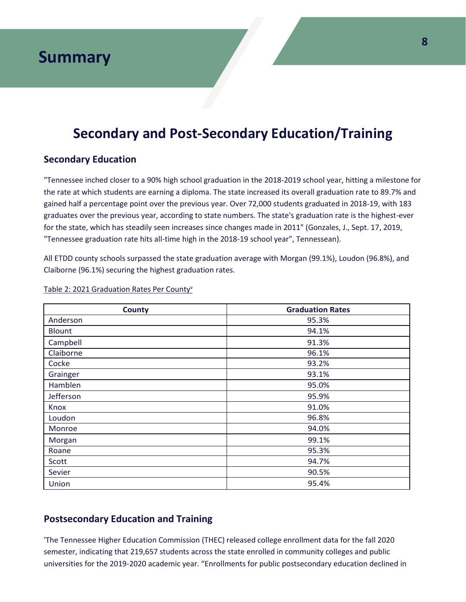### **Secondary and Post-Secondary Education/Training**

### **Secondary Education**

"Tennessee inched closer to a 90% high school graduation in the 2018-2019 school year, hitting a milestone for the rate at which students are earning a diploma. The state increased its overall graduation rate to 89.7% and gained half a percentage point over the previous year. Over 72,000 students graduated in 2018-19, with 183 graduates over the previous year, according to state numbers. The state's graduation rate is the highest-ever for the state, which has steadily seen increases since changes made in 2011" (Gonzales, J., Sept. 17, 2019, "Tennessee graduation rate hits all-time high in the 2018-19 school year", Tennessean).

All ETDD county schools surpassed the state graduation average with Morgan (99.1%), Loudon (96.8%), and Claiborne (96.1%) securing the highest graduation rates.

| <b>County</b> | <b>Graduation Rates</b> |
|---------------|-------------------------|
| Anderson      | 95.3%                   |
| <b>Blount</b> | 94.1%                   |
| Campbell      | 91.3%                   |
| Claiborne     | 96.1%                   |
| Cocke         | 93.2%                   |
| Grainger      | 93.1%                   |
| Hamblen       | 95.0%                   |
| Jefferson     | 95.9%                   |
| Knox          | 91.0%                   |
| Loudon        | 96.8%                   |
| Monroe        | 94.0%                   |
| Morgan        | 99.1%                   |
| Roane         | 95.3%                   |
| Scott         | 94.7%                   |
| Sevier        | 90.5%                   |
| Union         | 95.4%                   |

#### Table 2: 2021 Graduation Rates Per County<sup>v</sup>

### **Postsecondary Education and Training**

'The Tennessee Higher Education Commission (THEC) released college enrollment data for the fall 2020 semester, indicating that 219,657 students across the state enrolled in community colleges and public universities for the 2019-2020 academic year. "Enrollments for public postsecondary education declined in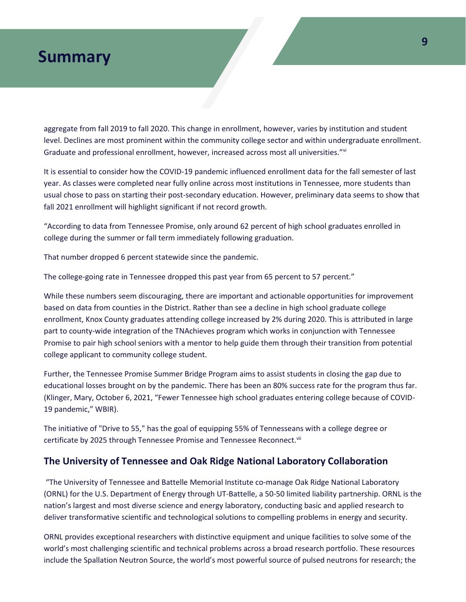aggregate from fall 2019 to fall 2020. This change in enrollment, however, varies by institution and student level. Declines are most prominent within the community college sector and within undergraduate enrollment. Graduate and professional enrollment, however, increased across most all universities."<sup>vi</sup>

It is essential to consider how the COVID-19 pandemic influenced enrollment data for the fall semester of last year. As classes were completed near fully online across most institutions in Tennessee, more students than usual chose to pass on starting their post-secondary education. However, preliminary data seems to show that fall 2021 enrollment will highlight significant if not record growth.

"According to data from Tennessee Promise, only around 62 percent of high school graduates enrolled in college during the summer or fall term immediately following graduation.

That number dropped 6 percent statewide since the pandemic.

The college-going rate in Tennessee dropped this past year from 65 percent to 57 percent."

While these numbers seem discouraging, there are important and actionable opportunities for improvement based on data from counties in the District. Rather than see a decline in high school graduate college enrollment, Knox County graduates attending college increased by 2% during 2020. This is attributed in large part to county-wide integration of the TNAchieves program which works in conjunction with Tennessee Promise to pair high school seniors with a mentor to help guide them through their transition from potential college applicant to community college student.

Further, the Tennessee Promise Summer Bridge Program aims to assist students in closing the gap due to educational losses brought on by the pandemic. There has been an 80% success rate for the program thus far. (Klinger, Mary, October 6, 2021, "Fewer Tennessee high school graduates entering college because of COVID-19 pandemic," WBIR).

The initiative of "Drive to 55," has the goal of equipping 55% of Tennesseans with a college degree or certificate by 2025 through Tennessee Promise and Tennessee Reconnect.<sup>vii</sup>

### **The University of Tennessee and Oak Ridge National Laboratory Collaboration**

"The University of Tennessee and Battelle Memorial Institute co-manage Oak Ridge National Laboratory (ORNL) for the U.S. Department of Energy through UT-Battelle, a 50-50 limited liability partnership. ORNL is the nation's largest and most diverse science and energy laboratory, conducting basic and applied research to deliver transformative scientific and technological solutions to compelling problems in energy and security.

ORNL provides exceptional researchers with distinctive equipment and unique facilities to solve some of the world's most challenging scientific and technical problems across a broad research portfolio. These resources include the Spallation Neutron Source, the world's most powerful source of pulsed neutrons for research; the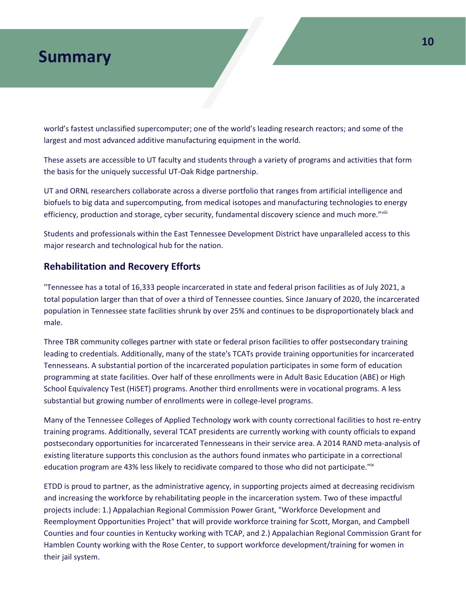world's fastest unclassified supercomputer; one of the world's leading research reactors; and some of the largest and most advanced additive manufacturing equipment in the world.

These assets are accessible to UT faculty and students through a variety of programs and activities that form the basis for the uniquely successful UT-Oak Ridge partnership.

UT and ORNL researchers collaborate across a diverse portfolio that ranges from artificial intelligence and biofuels to big data and supercomputing, from medical isotopes and manufacturing technologies to energy efficiency, production and storage, cyber security, fundamental discovery science and much more."viii

Students and professionals within the East Tennessee Development District have unparalleled access to this major research and technological hub for the nation.

### **Rehabilitation and Recovery Efforts**

"Tennessee has a total of 16,333 people incarcerated in state and federal prison facilities as of July 2021, a total population larger than that of over a third of Tennessee counties. Since January of 2020, the incarcerated population in Tennessee state facilities shrunk by over 25% and continues to be disproportionately black and male.

Three TBR community colleges partner with state or federal prison facilities to offer postsecondary training leading to credentials. Additionally, many of the state's TCATs provide training opportunities for incarcerated Tennesseans. A substantial portion of the incarcerated population participates in some form of education programming at state facilities. Over half of these enrollments were in Adult Basic Education (ABE) or High School Equivalency Test (HiSET) programs. Another third enrollments were in vocational programs. A less substantial but growing number of enrollments were in college-level programs.

Many of the Tennessee Colleges of Applied Technology work with county correctional facilities to host re-entry training programs. Additionally, several TCAT presidents are currently working with county officials to expand postsecondary opportunities for incarcerated Tennesseans in their service area. A 2014 RAND meta-analysis of existing literature supports this conclusion as the authors found inmates who participate in a correctional education program are 43% less likely to recidivate compared to those who did not participate."ix

ETDD is proud to partner, as the administrative agency, in supporting projects aimed at decreasing recidivism and increasing the workforce by rehabilitating people in the incarceration system. Two of these impactful projects include: 1.) Appalachian Regional Commission Power Grant, "Workforce Development and Reemployment Opportunities Project" that will provide workforce training for Scott, Morgan, and Campbell Counties and four counties in Kentucky working with TCAP, and 2.) Appalachian Regional Commission Grant for Hamblen County working with the Rose Center, to support workforce development/training for women in their jail system.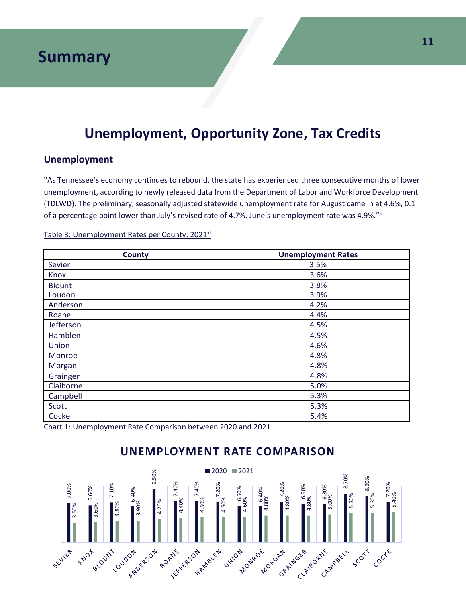### **Unemployment, Opportunity Zone, Tax Credits**

### **Unemployment**

''As Tennessee's economy continues to rebound, the state has experienced three consecutive months of lower unemployment, according to newly released data from the Department of Labor and Workforce Development (TDLWD). The preliminary, seasonally adjusted statewide unemployment rate for August came in at 4.6%, 0.1 of a percentage point lower than July's revised rate of 4.7%. June's unemployment rate was 4.9%."<sup>x</sup>

| <b>County</b> | <b>Unemployment Rates</b> |
|---------------|---------------------------|
| Sevier        | 3.5%                      |
| Knox          | 3.6%                      |
| <b>Blount</b> | 3.8%                      |
| Loudon        | 3.9%                      |
| Anderson      | 4.2%                      |
| Roane         | 4.4%                      |
| Jefferson     | 4.5%                      |
| Hamblen       | 4.5%                      |
| Union         | 4.6%                      |
| Monroe        | 4.8%                      |
| Morgan        | 4.8%                      |
| Grainger      | 4.8%                      |
| Claiborne     | 5.0%                      |
| Campbell      | 5.3%                      |
| Scott         | 5.3%                      |
| Cocke         | 5.4%                      |

Table 3: Unemployment Rates per County: 2021<sup>xi</sup>

Chart 1: Unemployment Rate Comparison between 2020 and 2021



### **UNEMPLOYMENT RATE COMPARISON**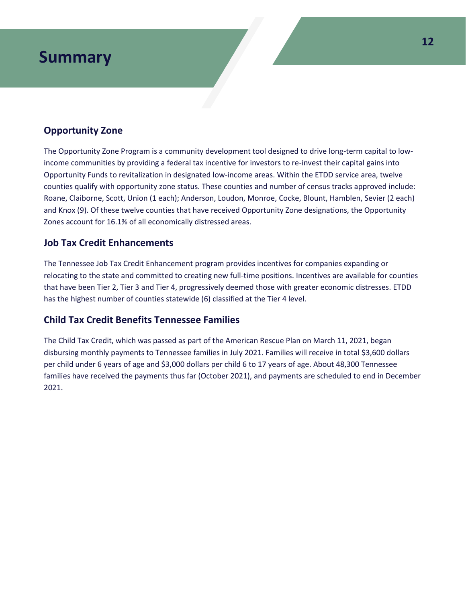### **Opportunity Zone**

The Opportunity Zone Program is a community development tool designed to drive long-term capital to lowincome communities by providing a federal tax incentive for investors to re-invest their capital gains into Opportunity Funds to revitalization in designated low-income areas. Within the ETDD service area, twelve counties qualify with opportunity zone status. These counties and number of census tracks approved include: Roane, Claiborne, Scott, Union (1 each); Anderson, Loudon, Monroe, Cocke, Blount, Hamblen, Sevier (2 each) and Knox (9). Of these twelve counties that have received Opportunity Zone designations, the Opportunity Zones account for 16.1% of all economically distressed areas.

### **Job Tax Credit Enhancements**

The Tennessee Job Tax Credit Enhancement program provides incentives for companies expanding or relocating to the state and committed to creating new full-time positions. Incentives are available for counties that have been Tier 2, Tier 3 and Tier 4, progressively deemed those with greater economic distresses. ETDD has the highest number of counties statewide (6) classified at the Tier 4 level.

### **Child Tax Credit Benefits Tennessee Families**

The Child Tax Credit, which was passed as part of the American Rescue Plan on March 11, 2021, began disbursing monthly payments to Tennessee families in July 2021. Families will receive in total \$3,600 dollars per child under 6 years of age and \$3,000 dollars per child 6 to 17 years of age. About 48,300 Tennessee families have received the payments thus far (October 2021), and payments are scheduled to end in December 2021.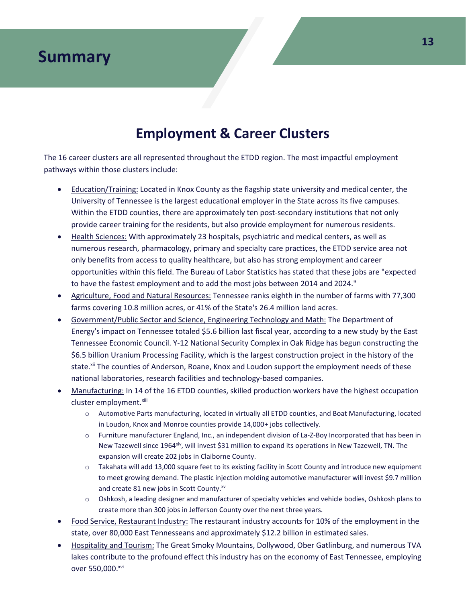### **Employment & Career Clusters**

The 16 career clusters are all represented throughout the ETDD region. The most impactful employment pathways within those clusters include:

- Education/Training: Located in Knox County as the flagship state university and medical center, the University of Tennessee is the largest educational employer in the State across its five campuses. Within the ETDD counties, there are approximately ten post-secondary institutions that not only provide career training for the residents, but also provide employment for numerous residents.
- Health Sciences: With approximately 23 hospitals, psychiatric and medical centers, as well as numerous research, pharmacology, primary and specialty care practices, the ETDD service area not only benefits from access to quality healthcare, but also has strong employment and career opportunities within this field. The Bureau of Labor Statistics has stated that these jobs are "expected to have the fastest employment and to add the most jobs between 2014 and 2024."
- Agriculture, Food and Natural Resources: Tennessee ranks eighth in the number of farms with 77,300 farms covering 10.8 million acres, or 41% of the State's 26.4 million land acres.
- Government/Public Sector and Science, Engineering Technology and Math: The Department of Energy's impact on Tennessee totaled \$5.6 billion last fiscal year, according to a new study by the East Tennessee Economic Council. Y-12 National Security Complex in Oak Ridge has begun constructing the \$6.5 billion Uranium Processing Facility, which is the largest construction project in the history of the state.<sup>xii</sup> The counties of Anderson, Roane, Knox and Loudon support the employment needs of these national laboratories, research facilities and technology-based companies.
- Manufacturing: In 14 of the 16 ETDD counties, skilled production workers have the highest occupation cluster employment.<sup>xiii</sup>
	- o Automotive Parts manufacturing, located in virtually all ETDD counties, and Boat Manufacturing, located in Loudon, Knox and Monroe counties provide 14,000+ jobs collectively.
	- o Furniture manufacturer England, Inc., an independent division of La-Z-Boy Incorporated that has been in New Tazewell since 1964<sup>xiv</sup>, will invest \$31 million to expand its operations in New Tazewell, TN. The expansion will create 202 jobs in Claiborne County.
	- Takahata will add 13,000 square feet to its existing facility in Scott County and introduce new equipment to meet growing demand. The plastic injection molding automotive manufacturer will invest \$9.7 million and create 81 new jobs in Scott County.<sup>xv</sup>
	- o Oshkosh, a leading designer and manufacturer of specialty vehicles and vehicle bodies, Oshkosh plans to create more than 300 jobs in Jefferson County over the next three years.
- Food Service, Restaurant Industry: The restaurant industry accounts for 10% of the employment in the state, over 80,000 East Tennesseans and approximately \$12.2 billion in estimated sales.
- Hospitality and Tourism: The Great Smoky Mountains, Dollywood, Ober Gatlinburg, and numerous TVA lakes contribute to the profound effect this industry has on the economy of East Tennessee, employing over 550,000. xvi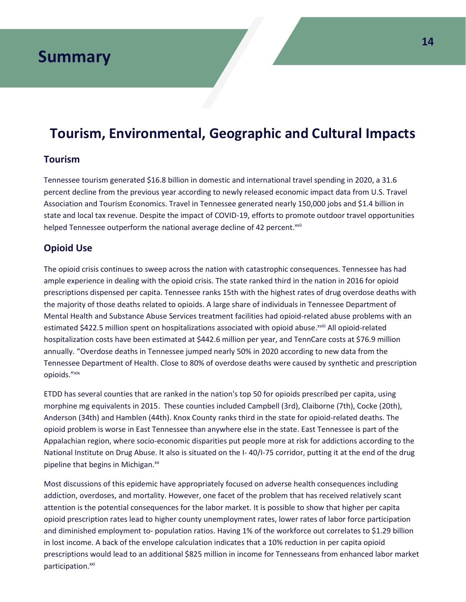### **Tourism, Environmental, Geographic and Cultural Impacts**

### **Tourism**

Tennessee tourism generated \$16.8 billion in domestic and international travel spending in 2020, a 31.6 percent decline from the previous year according to newly released economic impact data from U.S. Travel Association and Tourism Economics. Travel in Tennessee generated nearly 150,000 jobs and \$1.4 billion in state and local tax revenue. Despite the impact of COVID-19, efforts to promote outdoor travel opportunities helped Tennessee outperform the national average decline of 42 percent.<sup>xvii</sup>

### **Opioid Use**

The opioid crisis continues to sweep across the nation with catastrophic consequences. Tennessee has had ample experience in dealing with the opioid crisis. The state ranked third in the nation in 2016 for opioid prescriptions dispensed per capita. Tennessee ranks 15th with the highest rates of drug overdose deaths with the majority of those deaths related to opioids. A large share of individuals in Tennessee Department of Mental Health and Substance Abuse Services treatment facilities had opioid-related abuse problems with an estimated \$422.5 million spent on hospitalizations associated with opioid abuse. Xvill All opioid-related hospitalization costs have been estimated at \$442.6 million per year, and TennCare costs at \$76.9 million annually. "Overdose deaths in Tennessee jumped nearly 50% in 2020 according to new data from the Tennessee Department of Health. Close to 80% of overdose deaths were caused by synthetic and prescription opioids."xix

ETDD has several counties that are ranked in the nation's top 50 for opioids prescribed per capita, using morphine mg equivalents in 2015. These counties included Campbell (3rd), Claiborne (7th), Cocke (20th), Anderson (34th) and Hamblen (44th). Knox County ranks third in the state for opioid-related deaths. The opioid problem is worse in East Tennessee than anywhere else in the state. East Tennessee is part of the Appalachian region, where socio-economic disparities put people more at risk for addictions according to the National Institute on Drug Abuse. It also is situated on the I- 40/I-75 corridor, putting it at the end of the drug pipeline that begins in Michigan.<sup>xx</sup>

Most discussions of this epidemic have appropriately focused on adverse health consequences including addiction, overdoses, and mortality. However, one facet of the problem that has received relatively scant attention is the potential consequences for the labor market. It is possible to show that higher per capita opioid prescription rates lead to higher county unemployment rates, lower rates of labor force participation and diminished employment to- population ratios. Having 1% of the workforce out correlates to \$1.29 billion in lost income. A back of the envelope calculation indicates that a 10% reduction in per capita opioid prescriptions would lead to an additional \$825 million in income for Tennesseans from enhanced labor market participation.<sup>xxi</sup>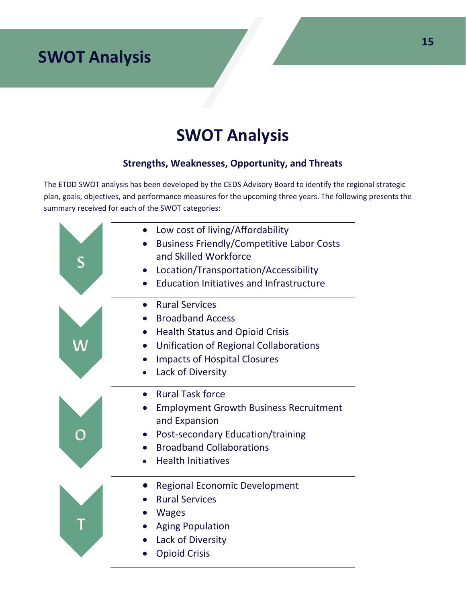# **SWOT Analysis**

### **Strengths, Weaknesses, Opportunity, and Threats**

The ETDD SWOT analysis has been developed by the CEDS Advisory Board to identify the regional strategic plan, goals, objectives, and performance measures for the upcoming three years. The following presents the summary received for each of the SWOT categories:

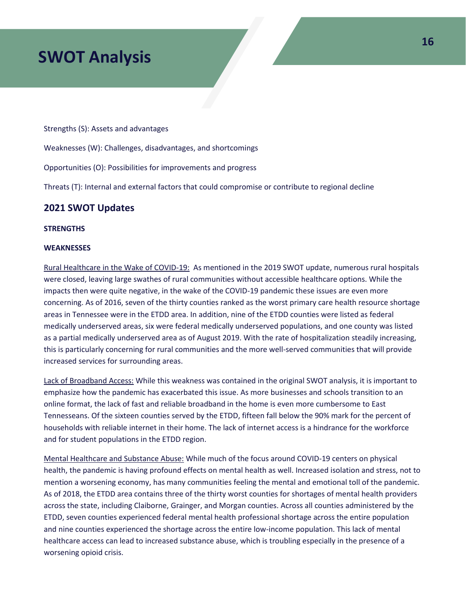Strengths (S): Assets and advantages

Weaknesses (W): Challenges, disadvantages, and shortcomings

Opportunities (O): Possibilities for improvements and progress

Threats (T): Internal and external factors that could compromise or contribute to regional decline

### **2021 SWOT Updates**

#### **STRENGTHS**

#### **WEAKNESSES**

Rural Healthcare in the Wake of COVID-19: As mentioned in the 2019 SWOT update, numerous rural hospitals were closed, leaving large swathes of rural communities without accessible healthcare options. While the impacts then were quite negative, in the wake of the COVID-19 pandemic these issues are even more concerning. As of 2016, seven of the thirty counties ranked as the worst primary care health resource shortage areas in Tennessee were in the ETDD area. In addition, nine of the ETDD counties were listed as federal medically underserved areas, six were federal medically underserved populations, and one county was listed as a partial medically underserved area as of August 2019. With the rate of hospitalization steadily increasing, this is particularly concerning for rural communities and the more well-served communities that will provide increased services for surrounding areas.

Lack of Broadband Access: While this weakness was contained in the original SWOT analysis, it is important to emphasize how the pandemic has exacerbated this issue. As more businesses and schools transition to an online format, the lack of fast and reliable broadband in the home is even more cumbersome to East Tennesseans. Of the sixteen counties served by the ETDD, fifteen fall below the 90% mark for the percent of households with reliable internet in their home. The lack of internet access is a hindrance for the workforce and for student populations in the ETDD region.

Mental Healthcare and Substance Abuse: While much of the focus around COVID-19 centers on physical health, the pandemic is having profound effects on mental health as well. Increased isolation and stress, not to mention a worsening economy, has many communities feeling the mental and emotional toll of the pandemic. As of 2018, the ETDD area contains three of the thirty worst counties for shortages of mental health providers across the state, including Claiborne, Grainger, and Morgan counties. Across all counties administered by the ETDD, seven counties experienced federal mental health professional shortage across the entire population and nine counties experienced the shortage across the entire low-income population. This lack of mental healthcare access can lead to increased substance abuse, which is troubling especially in the presence of a worsening opioid crisis.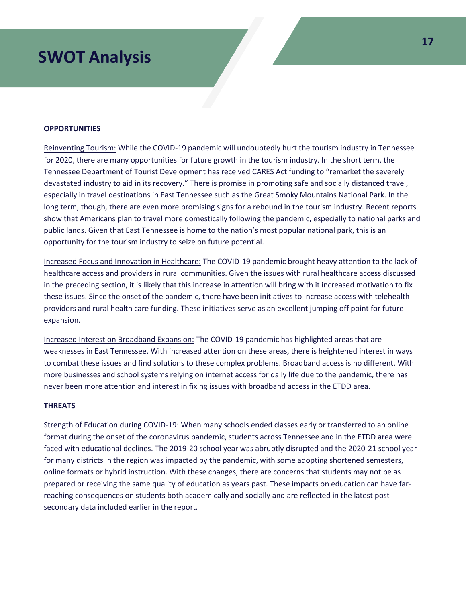#### **OPPORTUNITIES**

Reinventing Tourism: While the COVID-19 pandemic will undoubtedly hurt the tourism industry in Tennessee for 2020, there are many opportunities for future growth in the tourism industry. In the short term, the Tennessee Department of Tourist Development has received CARES Act funding to "remarket the severely devastated industry to aid in its recovery." There is promise in promoting safe and socially distanced travel, especially in travel destinations in East Tennessee such as the Great Smoky Mountains National Park. In the long term, though, there are even more promising signs for a rebound in the tourism industry. Recent reports show that Americans plan to travel more domestically following the pandemic, especially to national parks and public lands. Given that East Tennessee is home to the nation's most popular national park, this is an opportunity for the tourism industry to seize on future potential.

Increased Focus and Innovation in Healthcare: The COVID-19 pandemic brought heavy attention to the lack of healthcare access and providers in rural communities. Given the issues with rural healthcare access discussed in the preceding section, it is likely that this increase in attention will bring with it increased motivation to fix these issues. Since the onset of the pandemic, there have been initiatives to increase access with telehealth providers and rural health care funding. These initiatives serve as an excellent jumping off point for future expansion.

Increased Interest on Broadband Expansion: The COVID-19 pandemic has highlighted areas that are weaknesses in East Tennessee. With increased attention on these areas, there is heightened interest in ways to combat these issues and find solutions to these complex problems. Broadband access is no different. With more businesses and school systems relying on internet access for daily life due to the pandemic, there has never been more attention and interest in fixing issues with broadband access in the ETDD area.

#### **THREATS**

Strength of Education during COVID-19: When many schools ended classes early or transferred to an online format during the onset of the coronavirus pandemic, students across Tennessee and in the ETDD area were faced with educational declines. The 2019-20 school year was abruptly disrupted and the 2020-21 school year for many districts in the region was impacted by the pandemic, with some adopting shortened semesters, online formats or hybrid instruction. With these changes, there are concerns that students may not be as prepared or receiving the same quality of education as years past. These impacts on education can have farreaching consequences on students both academically and socially and are reflected in the latest postsecondary data included earlier in the report.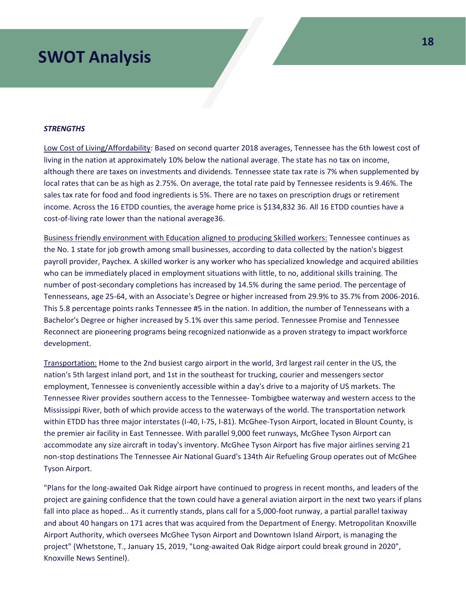#### *STRENGTHS*

Low Cost of Living/Affordability: Based on second quarter 2018 averages, Tennessee has the 6th lowest cost of living in the nation at approximately 10% below the national average. The state has no tax on income, although there are taxes on investments and dividends. Tennessee state tax rate is 7% when supplemented by local rates that can be as high as 2.75%. On average, the total rate paid by Tennessee residents is 9.46%. The sales tax rate for food and food ingredients is 5%. There are no taxes on prescription drugs or retirement income. Across the 16 ETDD counties, the average home price is \$134,832 36. All 16 ETDD counties have a cost-of-living rate lower than the national average36.

Business friendly environment with Education aligned to producing Skilled workers: Tennessee continues as the No. 1 state for job growth among small businesses, according to data collected by the nation's biggest payroll provider, Paychex. A skilled worker is any worker who has specialized knowledge and acquired abilities who can be immediately placed in employment situations with little, to no, additional skills training. The number of post-secondary completions has increased by 14.5% during the same period. The percentage of Tennesseans, age 25-64, with an Associate's Degree or higher increased from 29.9% to 35.7% from 2006-2016. This 5.8 percentage points ranks Tennessee #5 in the nation. In addition, the number of Tennesseans with a Bachelor's Degree or higher increased by 5.1% over this same period. Tennessee Promise and Tennessee Reconnect are pioneering programs being recognized nationwide as a proven strategy to impact workforce development.

Transportation: Home to the 2nd busiest cargo airport in the world, 3rd largest rail center in the US, the nation's 5th largest inland port, and 1st in the southeast for trucking, courier and messengers sector employment, Tennessee is conveniently accessible within a day's drive to a majority of US markets. The Tennessee River provides southern access to the Tennessee- Tombigbee waterway and western access to the Mississippi River, both of which provide access to the waterways of the world. The transportation network within ETDD has three major interstates (I-40, I-75, I-81). McGhee-Tyson Airport, located in Blount County, is the premier air facility in East Tennessee. With parallel 9,000 feet runways, McGhee Tyson Airport can accommodate any size aircraft in today's inventory. McGhee Tyson Airport has five major airlines serving 21 non-stop destinations The Tennessee Air National Guard's 134th Air Refueling Group operates out of McGhee Tyson Airport.

"Plans for the long-awaited Oak Ridge airport have continued to progress in recent months, and leaders of the project are gaining confidence that the town could have a general aviation airport in the next two years if plans fall into place as hoped... As it currently stands, plans call for a 5,000-foot runway, a partial parallel taxiway and about 40 hangars on 171 acres that was acquired from the Department of Energy. Metropolitan Knoxville Airport Authority, which oversees McGhee Tyson Airport and Downtown Island Airport, is managing the project" (Whetstone, T., January 15, 2019, "Long-awaited Oak Ridge airport could break ground in 2020", Knoxville News Sentinel).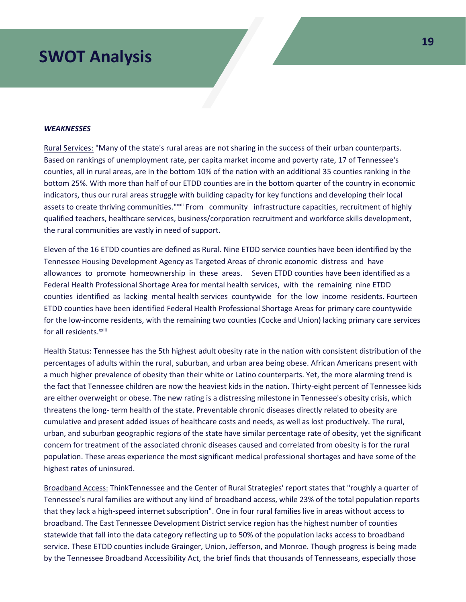#### *WEAKNESSES*

Rural Services: "Many of the state's rural areas are not sharing in the success of their urban counterparts. Based on rankings of unemployment rate, per capita market income and poverty rate, 17 of Tennessee's counties, all in rural areas, are in the bottom 10% of the nation with an additional 35 counties ranking in the bottom 25%. With more than half of our ETDD counties are in the bottom quarter of the country in economic indicators, thus our rural areas struggle with building capacity for key functions and developing their local assets to create thriving communities."xxii From community infrastructure capacities, recruitment of highly qualified teachers, healthcare services, business/corporation recruitment and workforce skills development, the rural communities are vastly in need of support.

Eleven of the 16 ETDD counties are defined as Rural. Nine ETDD service counties have been identified by the Tennessee Housing Development Agency as Targeted Areas of chronic economic distress and have allowances to promote homeownership in these areas. Seven ETDD counties have been identified as a Federal Health Professional Shortage Area for mental health services, with the remaining nine ETDD counties identified as lacking mental health services countywide for the low income residents. Fourteen ETDD counties have been identified Federal Health Professional Shortage Areas for primary care countywide for the low-income residents, with the remaining two counties (Cocke and Union) lacking primary care services for all residents.<sup>xxiii</sup>

Health Status: Tennessee has the 5th highest adult obesity rate in the nation with consistent distribution of the percentages of adults within the rural, suburban, and urban area being obese. African Americans present with a much higher prevalence of obesity than their white or Latino counterparts. Yet, the more alarming trend is the fact that Tennessee children are now the heaviest kids in the nation. Thirty-eight percent of Tennessee kids are either overweight or obese. The new rating is a distressing milestone in Tennessee's obesity crisis, which threatens the long- term health of the state. Preventable chronic diseases directly related to obesity are cumulative and present added issues of healthcare costs and needs, as well as lost productively. The rural, urban, and suburban geographic regions of the state have similar percentage rate of obesity, yet the significant concern for treatment of the associated chronic diseases caused and correlated from obesity is for the rural population. These areas experience the most significant medical professional shortages and have some of the highest rates of uninsured.

Broadband Access: ThinkTennessee and the Center of Rural Strategies' report states that "roughly a quarter of Tennessee's rural families are without any kind of broadband access, while 23% of the total population reports that they lack a high-speed internet subscription". One in four rural families live in areas without access to broadband. The East Tennessee Development District service region has the highest number of counties statewide that fall into the data category reflecting up to 50% of the population lacks access to broadband service. These ETDD counties include Grainger, Union, Jefferson, and Monroe. Though progress is being made by the Tennessee Broadband Accessibility Act, the brief finds that thousands of Tennesseans, especially those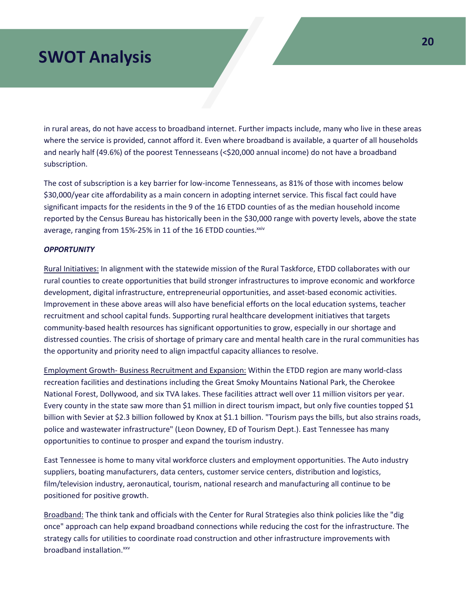in rural areas, do not have access to broadband internet. Further impacts include, many who live in these areas where the service is provided, cannot afford it. Even where broadband is available, a quarter of all households and nearly half (49.6%) of the poorest Tennesseans (<\$20,000 annual income) do not have a broadband subscription.

The cost of subscription is a key barrier for low-income Tennesseans, as 81% of those with incomes below \$30,000/year cite affordability as a main concern in adopting internet service. This fiscal fact could have significant impacts for the residents in the 9 of the 16 ETDD counties of as the median household income reported by the Census Bureau has historically been in the \$30,000 range with poverty levels, above the state average, ranging from 15%-25% in 11 of the 16 ETDD counties.<sup>xxiv</sup>

#### *OPPORTUNITY*

Rural Initiatives: In alignment with the statewide mission of the Rural Taskforce, ETDD collaborates with our rural counties to create opportunities that build stronger infrastructures to improve economic and workforce development, digital infrastructure, entrepreneurial opportunities, and asset-based economic activities. Improvement in these above areas will also have beneficial efforts on the local education systems, teacher recruitment and school capital funds. Supporting rural healthcare development initiatives that targets community-based health resources has significant opportunities to grow, especially in our shortage and distressed counties. The crisis of shortage of primary care and mental health care in the rural communities has the opportunity and priority need to align impactful capacity alliances to resolve.

Employment Growth- Business Recruitment and Expansion: Within the ETDD region are many world-class recreation facilities and destinations including the Great Smoky Mountains National Park, the Cherokee National Forest, Dollywood, and six TVA lakes. These facilities attract well over 11 million visitors per year. Every county in the state saw more than \$1 million in direct tourism impact, but only five counties topped \$1 billion with Sevier at \$2.3 billion followed by Knox at \$1.1 billion. "Tourism pays the bills, but also strains roads, police and wastewater infrastructure" (Leon Downey, ED of Tourism Dept.). East Tennessee has many opportunities to continue to prosper and expand the tourism industry.

East Tennessee is home to many vital workforce clusters and employment opportunities. The Auto industry suppliers, boating manufacturers, data centers, customer service centers, distribution and logistics, film/television industry, aeronautical, tourism, national research and manufacturing all continue to be positioned for positive growth.

Broadband: The think tank and officials with the Center for Rural Strategies also think policies like the "dig once" approach can help expand broadband connections while reducing the cost for the infrastructure. The strategy calls for utilities to coordinate road construction and other infrastructure improvements with broadband installation.<sup>xxv</sup>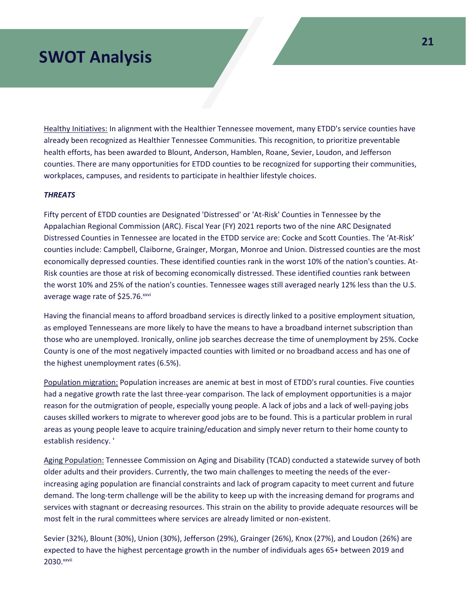Healthy Initiatives: In alignment with the Healthier Tennessee movement, many ETDD's service counties have already been recognized as Healthier Tennessee Communities. This recognition, to prioritize preventable health efforts, has been awarded to Blount, Anderson, Hamblen, Roane, Sevier, Loudon, and Jefferson counties. There are many opportunities for ETDD counties to be recognized for supporting their communities, workplaces, campuses, and residents to participate in healthier lifestyle choices.

#### *THREATS*

Fifty percent of ETDD counties are Designated 'Distressed' or 'At-Risk' Counties in Tennessee by the Appalachian Regional Commission (ARC). Fiscal Year (FY) 2021 reports two of the nine ARC Designated Distressed Counties in Tennessee are located in the ETDD service are: Cocke and Scott Counties. The 'At-Risk' counties include: Campbell, Claiborne, Grainger, Morgan, Monroe and Union. Distressed counties are the most economically depressed counties. These identified counties rank in the worst 10% of the nation's counties. At-Risk counties are those at risk of becoming economically distressed. These identified counties rank between the worst 10% and 25% of the nation's counties. Tennessee wages still averaged nearly 12% less than the U.S. average wage rate of \$25.76.<sup>xxvi</sup>

Having the financial means to afford broadband services is directly linked to a positive employment situation, as employed Tennesseans are more likely to have the means to have a broadband internet subscription than those who are unemployed. Ironically, online job searches decrease the time of unemployment by 25%. Cocke County is one of the most negatively impacted counties with limited or no broadband access and has one of the highest unemployment rates (6.5%).

Population migration: Population increases are anemic at best in most of ETDD's rural counties. Five counties had a negative growth rate the last three-year comparison. The lack of employment opportunities is a major reason for the outmigration of people, especially young people. A lack of jobs and a lack of well-paying jobs causes skilled workers to migrate to wherever good jobs are to be found. This is a particular problem in rural areas as young people leave to acquire training/education and simply never return to their home county to establish residency. '

Aging Population: Tennessee Commission on Aging and Disability (TCAD) conducted a statewide survey of both older adults and their providers. Currently, the two main challenges to meeting the needs of the everincreasing aging population are financial constraints and lack of program capacity to meet current and future demand. The long-term challenge will be the ability to keep up with the increasing demand for programs and services with stagnant or decreasing resources. This strain on the ability to provide adequate resources will be most felt in the rural committees where services are already limited or non-existent.

Sevier (32%), Blount (30%), Union (30%), Jefferson (29%), Grainger (26%), Knox (27%), and Loudon (26%) are expected to have the highest percentage growth in the number of individuals ages 65+ between 2019 and 2030. xxvii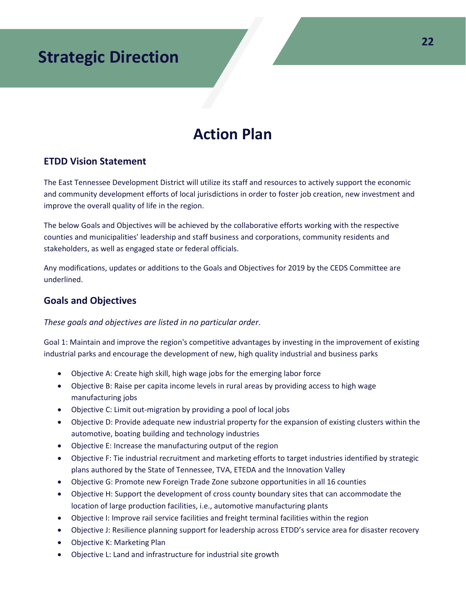# **Action Plan**

### **ETDD Vision Statement**

The East Tennessee Development District will utilize its staff and resources to actively support the economic and community development efforts of local jurisdictions in order to foster job creation, new investment and improve the overall quality of life in the region.

The below Goals and Objectives will be achieved by the collaborative efforts working with the respective counties and municipalities' leadership and staff business and corporations, community residents and stakeholders, as well as engaged state or federal officials.

Any modifications, updates or additions to the Goals and Objectives for 2019 by the CEDS Committee are underlined.

### **Goals and Objectives**

### *These goals and objectives are listed in no particular order.*

Goal 1: Maintain and improve the region's competitive advantages by investing in the improvement of existing industrial parks and encourage the development of new, high quality industrial and business parks

- Objective A: Create high skill, high wage jobs for the emerging labor force
- Objective B: Raise per capita income levels in rural areas by providing access to high wage manufacturing jobs
- Objective C: Limit out-migration by providing a pool of local jobs
- Objective D: Provide adequate new industrial property for the expansion of existing clusters within the automotive, boating building and technology industries
- Objective E: Increase the manufacturing output of the region
- Objective F: Tie industrial recruitment and marketing efforts to target industries identified by strategic plans authored by the State of Tennessee, TVA, ETEDA and the Innovation Valley
- Objective G: Promote new Foreign Trade Zone subzone opportunities in all 16 counties
- Objective H: Support the development of cross county boundary sites that can accommodate the location of large production facilities, i.e., automotive manufacturing plants
- Objective I: Improve rail service facilities and freight terminal facilities within the region
- Objective J: Resilience planning support for leadership across ETDD's service area for disaster recovery
- Objective K: Marketing Plan
- Objective L: Land and infrastructure for industrial site growth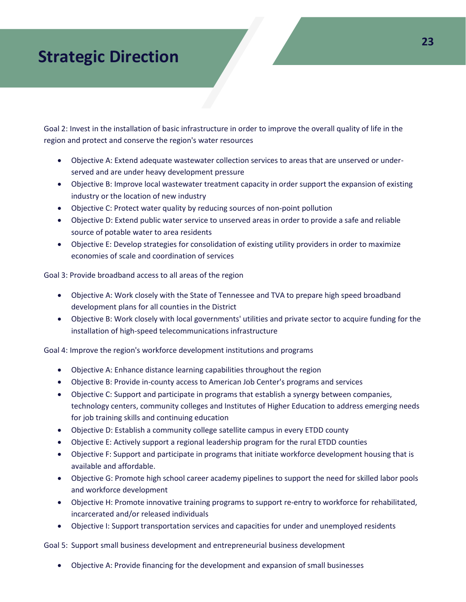Goal 2: Invest in the installation of basic infrastructure in order to improve the overall quality of life in the region and protect and conserve the region's water resources

- Objective A: Extend adequate wastewater collection services to areas that are unserved or underserved and are under heavy development pressure
- Objective B: Improve local wastewater treatment capacity in order support the expansion of existing industry or the location of new industry
- Objective C: Protect water quality by reducing sources of non-point pollution
- Objective D: Extend public water service to unserved areas in order to provide a safe and reliable source of potable water to area residents
- Objective E: Develop strategies for consolidation of existing utility providers in order to maximize economies of scale and coordination of services

Goal 3: Provide broadband access to all areas of the region

- Objective A: Work closely with the State of Tennessee and TVA to prepare high speed broadband development plans for all counties in the District
- Objective B: Work closely with local governments' utilities and private sector to acquire funding for the installation of high-speed telecommunications infrastructure

Goal 4: Improve the region's workforce development institutions and programs

- Objective A: Enhance distance learning capabilities throughout the region
- Objective B: Provide in-county access to American Job Center's programs and services
- Objective C: Support and participate in programs that establish a synergy between companies, technology centers, community colleges and Institutes of Higher Education to address emerging needs for job training skills and continuing education
- Objective D: Establish a community college satellite campus in every ETDD county
- Objective E: Actively support a regional leadership program for the rural ETDD counties
- Objective F: Support and participate in programs that initiate workforce development housing that is available and affordable.
- Objective G: Promote high school career academy pipelines to support the need for skilled labor pools and workforce development
- Objective H: Promote innovative training programs to support re-entry to workforce for rehabilitated, incarcerated and/or released individuals
- Objective I: Support transportation services and capacities for under and unemployed residents

Goal 5: Support small business development and entrepreneurial business development

• Objective A: Provide financing for the development and expansion of small businesses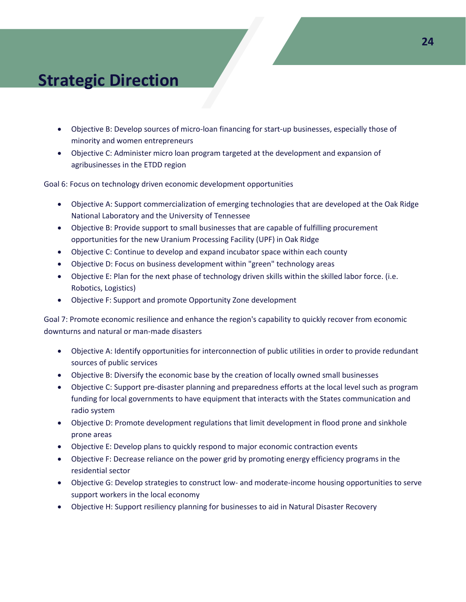- Objective B: Develop sources of micro-loan financing for start-up businesses, especially those of minority and women entrepreneurs
- Objective C: Administer micro loan program targeted at the development and expansion of agribusinesses in the ETDD region

Goal 6: Focus on technology driven economic development opportunities

- Objective A: Support commercialization of emerging technologies that are developed at the Oak Ridge National Laboratory and the University of Tennessee
- Objective B: Provide support to small businesses that are capable of fulfilling procurement opportunities for the new Uranium Processing Facility (UPF) in Oak Ridge
- Objective C: Continue to develop and expand incubator space within each county
- Objective D: Focus on business development within "green" technology areas
- Objective E: Plan for the next phase of technology driven skills within the skilled labor force. (i.e. Robotics, Logistics)
- Objective F: Support and promote Opportunity Zone development

Goal 7: Promote economic resilience and enhance the region's capability to quickly recover from economic downturns and natural or man-made disasters

- Objective A: Identify opportunities for interconnection of public utilities in order to provide redundant sources of public services
- Objective B: Diversify the economic base by the creation of locally owned small businesses
- Objective C: Support pre-disaster planning and preparedness efforts at the local level such as program funding for local governments to have equipment that interacts with the States communication and radio system
- Objective D: Promote development regulations that limit development in flood prone and sinkhole prone areas
- Objective E: Develop plans to quickly respond to major economic contraction events
- Objective F: Decrease reliance on the power grid by promoting energy efficiency programs in the residential sector
- Objective G: Develop strategies to construct low- and moderate-income housing opportunities to serve support workers in the local economy
- Objective H: Support resiliency planning for businesses to aid in Natural Disaster Recovery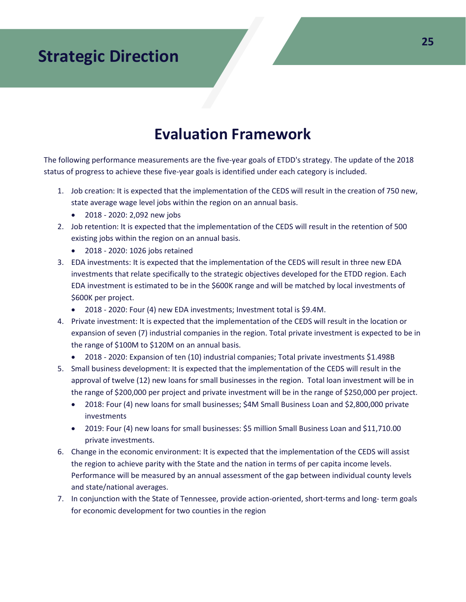# **Evaluation Framework**

The following performance measurements are the five-year goals of ETDD's strategy. The update of the 2018 status of progress to achieve these five-year goals is identified under each category is included.

- 1. Job creation: It is expected that the implementation of the CEDS will result in the creation of 750 new, state average wage level jobs within the region on an annual basis.
	- 2018 2020: 2,092 new jobs
- 2. Job retention: It is expected that the implementation of the CEDS will result in the retention of 500 existing jobs within the region on an annual basis.
	- 2018 2020: 1026 jobs retained
- 3. EDA investments: It is expected that the implementation of the CEDS will result in three new EDA investments that relate specifically to the strategic objectives developed for the ETDD region. Each EDA investment is estimated to be in the \$600K range and will be matched by local investments of \$600K per project.
	- 2018 2020: Four (4) new EDA investments; Investment total is \$9.4M.
- 4. Private investment: It is expected that the implementation of the CEDS will result in the location or expansion of seven (7) industrial companies in the region. Total private investment is expected to be in the range of \$100M to \$120M on an annual basis.
	- 2018 2020: Expansion of ten (10) industrial companies; Total private investments \$1.498B
- 5. Small business development: It is expected that the implementation of the CEDS will result in the approval of twelve (12) new loans for small businesses in the region. Total loan investment will be in the range of \$200,000 per project and private investment will be in the range of \$250,000 per project.
	- 2018: Four (4) new loans for small businesses; \$4M Small Business Loan and \$2,800,000 private investments
	- 2019: Four (4) new loans for small businesses: \$5 million Small Business Loan and \$11,710.00 private investments.
- 6. Change in the economic environment: It is expected that the implementation of the CEDS will assist the region to achieve parity with the State and the nation in terms of per capita income levels. Performance will be measured by an annual assessment of the gap between individual county levels and state/national averages.
- 7. In conjunction with the State of Tennessee, provide action-oriented, short-terms and long- term goals for economic development for two counties in the region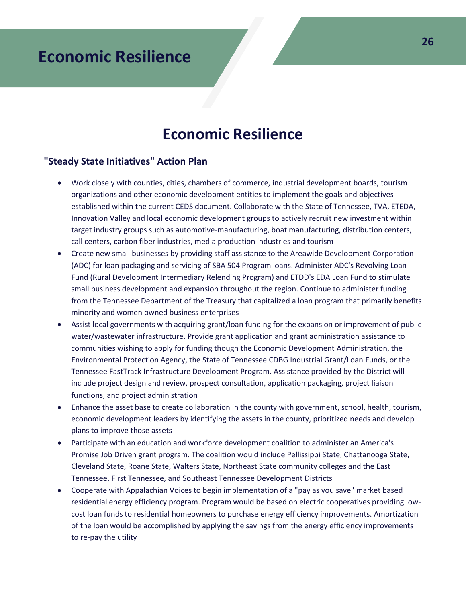# **Economic Resilience**

### **Economic Resilience**

### **"Steady State Initiatives" Action Plan**

- Work closely with counties, cities, chambers of commerce, industrial development boards, tourism organizations and other economic development entities to implement the goals and objectives established within the current CEDS document. Collaborate with the State of Tennessee, TVA, ETEDA, Innovation Valley and local economic development groups to actively recruit new investment within target industry groups such as automotive-manufacturing, boat manufacturing, distribution centers, call centers, carbon fiber industries, media production industries and tourism
- Create new small businesses by providing staff assistance to the Areawide Development Corporation (ADC) for loan packaging and servicing of SBA 504 Program loans. Administer ADC's Revolving Loan Fund (Rural Development Intermediary Relending Program) and ETDD's EDA Loan Fund to stimulate small business development and expansion throughout the region. Continue to administer funding from the Tennessee Department of the Treasury that capitalized a loan program that primarily benefits minority and women owned business enterprises
- Assist local governments with acquiring grant/loan funding for the expansion or improvement of public water/wastewater infrastructure. Provide grant application and grant administration assistance to communities wishing to apply for funding though the Economic Development Administration, the Environmental Protection Agency, the State of Tennessee CDBG Industrial Grant/Loan Funds, or the Tennessee FastTrack Infrastructure Development Program. Assistance provided by the District will include project design and review, prospect consultation, application packaging, project liaison functions, and project administration
- Enhance the asset base to create collaboration in the county with government, school, health, tourism, economic development leaders by identifying the assets in the county, prioritized needs and develop plans to improve those assets
- Participate with an education and workforce development coalition to administer an America's Promise Job Driven grant program. The coalition would include Pellissippi State, Chattanooga State, Cleveland State, Roane State, Walters State, Northeast State community colleges and the East Tennessee, First Tennessee, and Southeast Tennessee Development Districts
- Cooperate with Appalachian Voices to begin implementation of a "pay as you save" market based residential energy efficiency program. Program would be based on electric cooperatives providing lowcost loan funds to residential homeowners to purchase energy efficiency improvements. Amortization of the loan would be accomplished by applying the savings from the energy efficiency improvements to re-pay the utility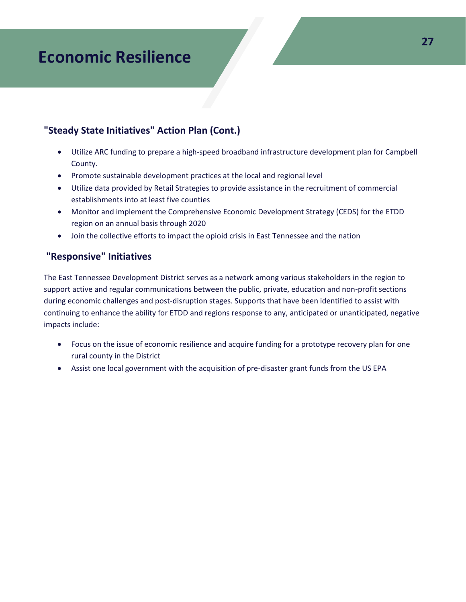# **Economic Resilience**

### **"Steady State Initiatives" Action Plan (Cont.)**

- Utilize ARC funding to prepare a high-speed broadband infrastructure development plan for Campbell County.
- Promote sustainable development practices at the local and regional level
- Utilize data provided by Retail Strategies to provide assistance in the recruitment of commercial establishments into at least five counties
- Monitor and implement the Comprehensive Economic Development Strategy (CEDS) for the ETDD region on an annual basis through 2020
- Join the collective efforts to impact the opioid crisis in East Tennessee and the nation

### **"Responsive" Initiatives**

The East Tennessee Development District serves as a network among various stakeholders in the region to support active and regular communications between the public, private, education and non-profit sections during economic challenges and post-disruption stages. Supports that have been identified to assist with continuing to enhance the ability for ETDD and regions response to any, anticipated or unanticipated, negative impacts include:

- Focus on the issue of economic resilience and acquire funding for a prototype recovery plan for one rural county in the District
- Assist one local government with the acquisition of pre-disaster grant funds from the US EPA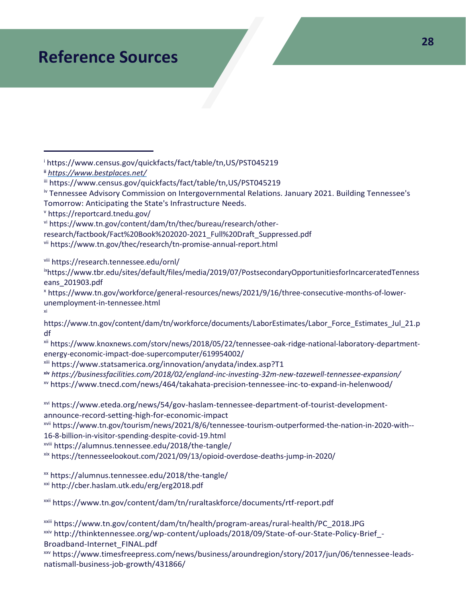# **Reference Sources**

<sup>i</sup> [https://www.census.gov/quickfacts/fact/table/tn,US/PST045219](http://www.census.gov/quickfacts/fact/table/tn,US/PST045219)

**ii** *https:[//www.bestplaces.net/](http://www.bestplaces.net/)*

iv Tennessee Advisory Commission on Intergovernmental Relations. January 2021. Building Tennessee's Tomorrow: Anticipating the State's Infrastructure Needs.

<sup>v</sup> <https://reportcard.tnedu.gov/>

xi

vi [https://www.tn.gov/content/dam/tn/thec/bureau/research/other-](https://www.tn.gov/content/dam/tn/thec/bureau/research/other-research/factbook/Fact%20Book%202020-2021_Full%20Draft_Suppressed.pdf)

[research/factbook/Fact%20Book%202020-2021\\_Full%20Draft\\_Suppressed.pdf](https://www.tn.gov/content/dam/tn/thec/bureau/research/other-research/factbook/Fact%20Book%202020-2021_Full%20Draft_Suppressed.pdf)

vii <https://www.tn.gov/thec/research/tn-promise-annual-report.html>

viii <https://research.tennessee.edu/ornl/>

ixhttps://www.tbr.edu/sites/default/files/media/2019/07/PostsecondaryOpportunitiesforIncarceratedTenness eans\_201903.pdf

<sup>x</sup> https://www.tn.gov/workforce/general-resources/news/2021/9/16/three-consecutive-months-of-lowerunemployment-in-tennessee.html

[https://www.tn.gov/content/dam/tn/workforce/documents/LaborEstimates/Labor\\_Force\\_Estimates\\_Jul\\_21.p](https://www.tn.gov/content/dam/tn/workforce/documents/LaborEstimates/Labor_Force_Estimates_Jul_21.pdf) [df](https://www.tn.gov/content/dam/tn/workforce/documents/LaborEstimates/Labor_Force_Estimates_Jul_21.pdf)

xii https:[//www.](http://www.knoxnews.comlstorvlnews/2018/05/22/tennessee-oak-ridge-national-laboratoty-department)[knoxnews.com/storv/news/2018/05/22/tennessee-oak-ridge-national-laboratory-department](https://www.knoxnews.com/storv/news/2018/05/22/tennessee-oak-ridge-national-laboratory-department­%20energy-economic-impact-doe-supercomputer/619954002/)energy-economic-impact-doe-supercomputer/619954002/

xiii htt[ps://www.statsamerica.or](http://www.statsamerica.org/innovation/anvdatalindex.asp?Tl)g[/innovation/anydata/index.asp?T1](https://www.statsamerica.org/innovation/anydata/index.asp?T1)

**xiv** *<https://businessfacilities.com/2018/02/england-inc-investing-32m-new-tazewell-tennessee-expansion/>* xv https:[//www.tnecd.com/news/464/takahata-precision-tennessee-inc-to-expand-in-helenwood/](http://www.tnecd.com/news/464/takahata-precision-tennessee-inc-to-expand-in-helenwood/)

xvi http[s://www.eteda.org/news/54/gov-haslam-tennessee-department-of-tourist-development](http://www.eteda.org/news/54/gov-haslam-tennessee-department-of-tourist-development)announce-record-setting-high-for-economic-impact

xvii https://www.tn.gov/tourism/news/2021/8/6/tennessee-tourism-outperformed-the-nation-in-2020-with-- 16-8-billion-in-visitor-spending-despite-covid-19.html

xviii <https://alumnus.tennessee.edu/2018/the-tangle/>

xix https://tennesseelookout.com/2021/09/13/opioid-overdose-deaths-jump-in-2020/

xx <https://alumnus.tennessee.edu/2018/the-tangle/>

xxi <http://cber.haslam.utk.edu/erg/erg2018.pdf>

xxii <https://www.tn.gov/content/dam/tn/ruraltaskforce/documents/rtf-report.pdf>

xxiii [https://www.tn.gov/content/dam/tn/health/program-areas/rural-health/PC\\_2018.JPG](https://www.tn.gov/content/dam/tn/health/program-areas/rural-health/PC_2018.JPG) xxiv [http://thinktennessee.org/wp-content/uploads/2018/09/State-of-our-State-Policy-Brief\\_-](http://thinktennessee.org/wp-content/uploads/2018/09/State-of-our-State-Policy-Brief_-Broadband-Internet_FINAL.pdf)

[Broadband-Internet\\_FINAL.pdf](http://thinktennessee.org/wp-content/uploads/2018/09/State-of-our-State-Policy-Brief_-Broadband-Internet_FINAL.pdf)

xxv [https://www.timesfreepress.com/news/business/aroundregion/story/2017/jun/06/tennessee-leads](https://www.timesfreepress.com/news/business/aroundregion/story/2017/jun/06/tennessee-leads-natismall-business-job-growth/431866/)[natismall-business-job-growth/431866/](https://www.timesfreepress.com/news/business/aroundregion/story/2017/jun/06/tennessee-leads-natismall-business-job-growth/431866/)

iii [https://www.census.gov/quickfacts/fact/table/tn,US/PST045219](http://www.census.gov/quickfacts/fact/table/tn,US/PST045219)